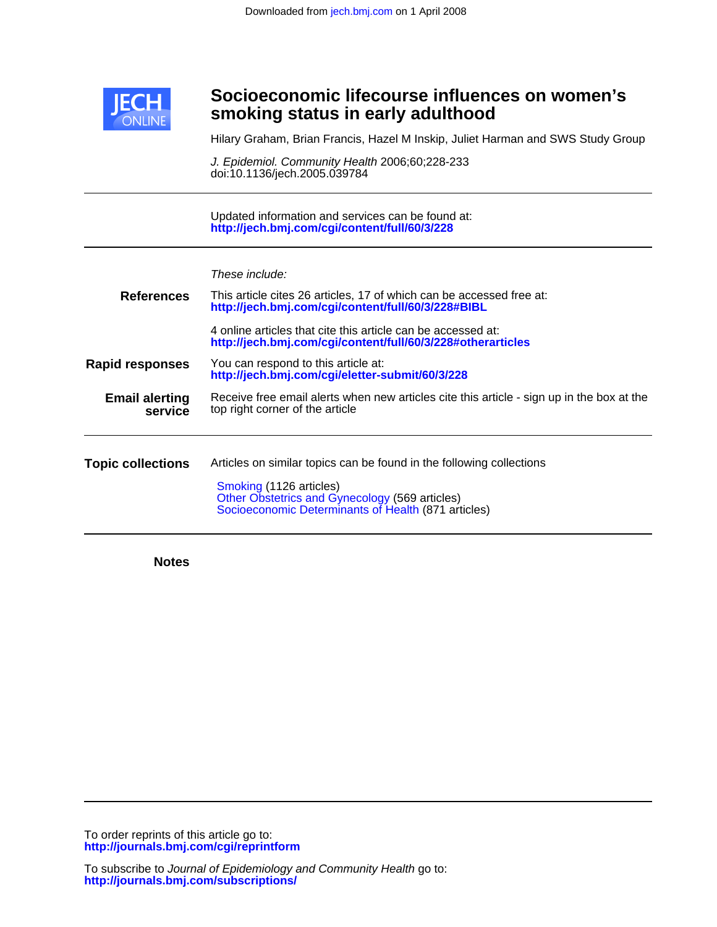

## **smoking status in early adulthood Socioeconomic lifecourse influences on women's**

Hilary Graham, Brian Francis, Hazel M Inskip, Juliet Harman and SWS Study Group

doi:10.1136/jech.2005.039784 J. Epidemiol. Community Health 2006;60;228-233

**<http://jech.bmj.com/cgi/content/full/60/3/228>** Updated information and services can be found at:

| <b>References</b>                | This article cites 26 articles, 17 of which can be accessed free at:<br>http://jech.bmj.com/cgi/content/full/60/3/228#BIBL                                                                               |
|----------------------------------|----------------------------------------------------------------------------------------------------------------------------------------------------------------------------------------------------------|
|                                  | 4 online articles that cite this article can be accessed at:<br>http://jech.bmj.com/cgi/content/full/60/3/228#otherarticles                                                                              |
| <b>Rapid responses</b>           | You can respond to this article at:<br>http://jech.bmj.com/cgi/eletter-submit/60/3/228                                                                                                                   |
| <b>Email alerting</b><br>service | Receive free email alerts when new articles cite this article - sign up in the box at the<br>top right corner of the article                                                                             |
| <b>Topic collections</b>         | Articles on similar topics can be found in the following collections<br>Smoking (1126 articles)<br>Other Obstetrics and Gynecology (569 articles)<br>Socioeconomic Determinants of Health (871 articles) |

**Notes**

**<http://journals.bmj.com/cgi/reprintform>** To order reprints of this article go to: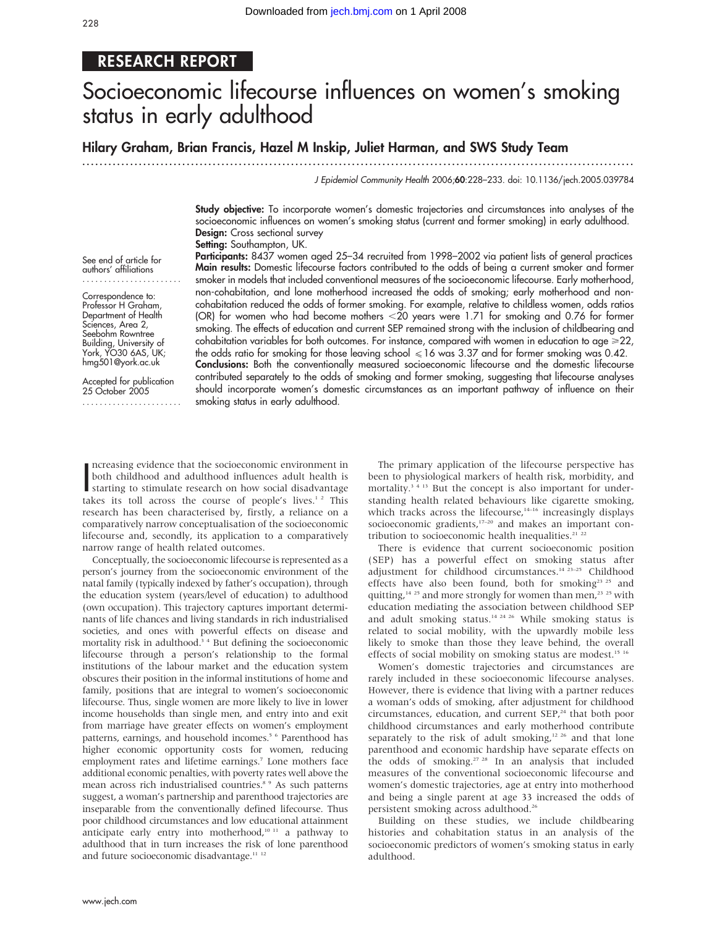## RESEARCH REPORT

# Socioeconomic lifecourse influences on women's smoking status in early adulthood

### Hilary Graham, Brian Francis, Hazel M Inskip, Juliet Harman, and SWS Study Team

............................................................... ............................................................... .

J Epidemiol Community Health 2006;60:228–233. doi: 10.1136/jech.2005.039784

Study objective: To incorporate women's domestic trajectories and circumstances into analyses of the socioeconomic influences on women's smoking status (current and former smoking) in early adulthood. Design: Cross sectional survey Setting: Southampton, UK.

See end of article for authors' affiliations

.......................

Correspondence to: Professor H Graham, Department of Health Sciences, Area 2, Seebohm Rowntree Building, University of York, YO30 6AS, UK; hmg501@york.ac.uk

Accepted for publication 25 October 2005 ....................... Participants: 8437 women aged 25-34 recruited from 1998-2002 via patient lists of general practices Main results: Domestic lifecourse factors contributed to the odds of being a current smoker and former smoker in models that included conventional measures of the socioeconomic lifecourse. Early motherhood, non-cohabitation, and lone motherhood increased the odds of smoking; early motherhood and noncohabitation reduced the odds of former smoking. For example, relative to childless women, odds ratios (OR) for women who had become mothers  $<$  20 years were 1.71 for smoking and 0.76 for former smoking. The effects of education and current SEP remained strong with the inclusion of childbearing and cohabitation variables for both outcomes. For instance, compared with women in education to age  $\geqslant$ 22, the odds ratio for smoking for those leaving school  $\leq 16$  was 3.37 and for former smoking was 0.42. Conclusions: Both the conventionally measured socioeconomic lifecourse and the domestic lifecourse contributed separately to the odds of smoking and former smoking, suggesting that lifecourse analyses should incorporate women's domestic circumstances as an important pathway of influence on their smoking status in early adulthood.

Increasing evidence that the socioeconomic environment in<br>
both childhood and adulthood influences adult health is<br>
starting to stimulate research on how social disadvantage<br>
these its tall agrees the source of populate li ncreasing evidence that the socioeconomic environment in both childhood and adulthood influences adult health is takes its toll across the course of people's lives.<sup>12</sup> This research has been characterised by, firstly, a reliance on a comparatively narrow conceptualisation of the socioeconomic lifecourse and, secondly, its application to a comparatively narrow range of health related outcomes.

Conceptually, the socioeconomic lifecourse is represented as a person's journey from the socioeconomic environment of the natal family (typically indexed by father's occupation), through the education system (years/level of education) to adulthood (own occupation). This trajectory captures important determinants of life chances and living standards in rich industrialised societies, and ones with powerful effects on disease and mortality risk in adulthood.<sup>34</sup> But defining the socioeconomic lifecourse through a person's relationship to the formal institutions of the labour market and the education system obscures their position in the informal institutions of home and family, positions that are integral to women's socioeconomic lifecourse. Thus, single women are more likely to live in lower income households than single men, and entry into and exit from marriage have greater effects on women's employment patterns, earnings, and household incomes.<sup>5 6</sup> Parenthood has higher economic opportunity costs for women, reducing employment rates and lifetime earnings.<sup>7</sup> Lone mothers face additional economic penalties, with poverty rates well above the mean across rich industrialised countries.<sup>8</sup> ° As such patterns suggest, a woman's partnership and parenthood trajectories are inseparable from the conventionally defined lifecourse. Thus poor childhood circumstances and low educational attainment anticipate early entry into motherhood,<sup>10 11</sup> a pathway to adulthood that in turn increases the risk of lone parenthood and future socioeconomic disadvantage.<sup>11</sup> <sup>12</sup>

The primary application of the lifecourse perspective has been to physiological markers of health risk, morbidity, and mortality.<sup>3,4,13</sup> But the concept is also important for understanding health related behaviours like cigarette smoking, which tracks across the lifecourse, $14-16$  increasingly displays socioeconomic gradients, $17-20$  and makes an important contribution to socioeconomic health inequalities.<sup>21 22</sup>

There is evidence that current socioeconomic position (SEP) has a powerful effect on smoking status after adjustment for childhood circumstances.<sup>14 23-25</sup> Childhood effects have also been found, both for smoking<sup>23 25</sup> and quitting,  $14\frac{25}{3}$  and more strongly for women than men,  $23\frac{25}{3}$  with education mediating the association between childhood SEP and adult smoking status.<sup>14 24 26</sup> While smoking status is related to social mobility, with the upwardly mobile less likely to smoke than those they leave behind, the overall effects of social mobility on smoking status are modest.<sup>15 16</sup>

Women's domestic trajectories and circumstances are rarely included in these socioeconomic lifecourse analyses. However, there is evidence that living with a partner reduces a woman's odds of smoking, after adjustment for childhood circumstances, education, and current SEP,<sup>24</sup> that both poor childhood circumstances and early motherhood contribute separately to the risk of adult smoking,<sup>12 26</sup> and that lone parenthood and economic hardship have separate effects on the odds of smoking.<sup>27 28</sup> In an analysis that included measures of the conventional socioeconomic lifecourse and women's domestic trajectories, age at entry into motherhood and being a single parent at age 33 increased the odds of persistent smoking across adulthood.26

Building on these studies, we include childbearing histories and cohabitation status in an analysis of the socioeconomic predictors of women's smoking status in early adulthood.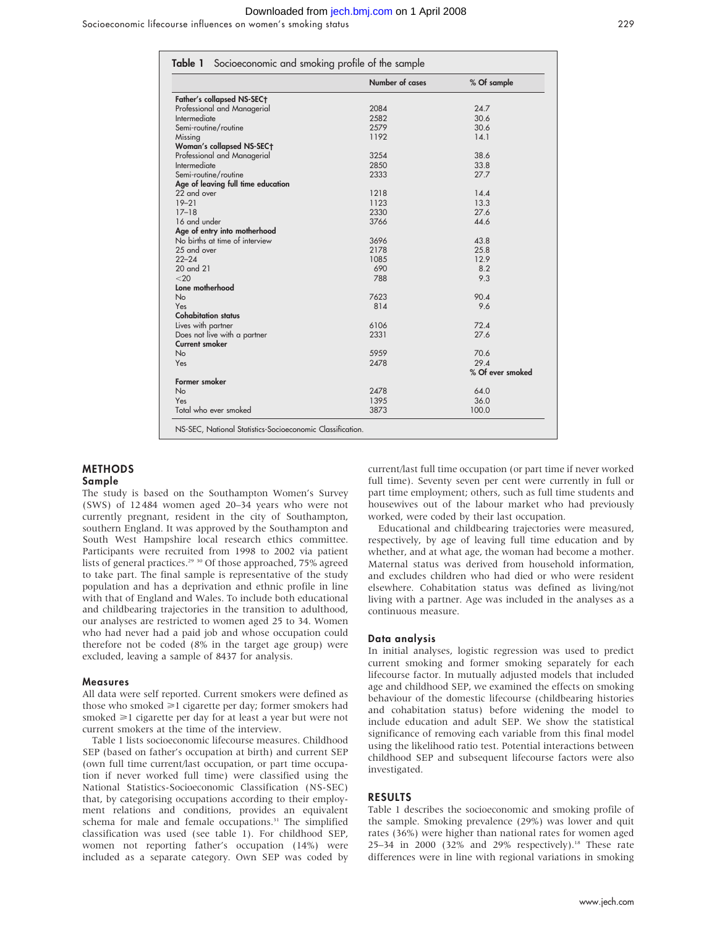#### Downloaded from [jech.bmj.com](http://jech.bmj.com) on 1 April 2008

Socioeconomic lifecourse influences on women's smoking status 229

|                                    | Number of cases | % Of sample      |  |
|------------------------------------|-----------------|------------------|--|
| Father's collapsed NS-SEC+         |                 |                  |  |
| Professional and Managerial        | 2084            | 24.7             |  |
| Intermediate                       | 2582            | 30.6             |  |
| Semi-routine/routine               | 2579            | 30.6             |  |
| Missing                            | 1192            | 14.1             |  |
| Woman's collapsed NS-SEC+          |                 |                  |  |
| Professional and Managerial        | 3254            | 38.6             |  |
| Intermediate                       | 2850            | 33.8             |  |
| Semi-routine/routine               | 2333            | 27.7             |  |
| Age of leaving full time education |                 |                  |  |
| 22 and over                        | 1218            | 14.4             |  |
| $19 - 21$                          | 1123            | 13.3             |  |
| $17 - 18$                          | 2330            | 27.6             |  |
| 16 and under                       | 3766            | 44.6             |  |
| Age of entry into motherhood       |                 |                  |  |
| No births at time of interview     | 3696            | 43.8             |  |
| 25 and over                        | 2178            | 25.8             |  |
| $22 - 24$                          | 1085            | 12.9             |  |
| 20 and 21                          | 690             | 8.2              |  |
| $<$ 20                             | 788             | 9.3              |  |
| Lone motherhood                    |                 |                  |  |
| <b>No</b>                          | 7623            | 90.4             |  |
| Yes                                | 814             | 9.6              |  |
| <b>Cohabitation status</b>         |                 |                  |  |
| Lives with partner                 | 6106            | 72.4             |  |
| Does not live with a partner       | 2331            | 27.6             |  |
| <b>Current smoker</b>              |                 |                  |  |
| <b>No</b>                          | 5959            | 70.6             |  |
| Yes                                | 2478            | 294              |  |
|                                    |                 | % Of ever smoked |  |
| Former smoker                      |                 |                  |  |
| <b>No</b>                          | 2478            | 64.0             |  |
| Yes                                | 1395            | 36.0             |  |
| Total who ever smoked              | 3873            | 100.0            |  |

## METHODS

#### Sample

The study is based on the Southampton Women's Survey (SWS) of 12 484 women aged 20–34 years who were not currently pregnant, resident in the city of Southampton, southern England. It was approved by the Southampton and South West Hampshire local research ethics committee. Participants were recruited from 1998 to 2002 via patient lists of general practices.<sup>29</sup> <sup>30</sup> Of those approached, 75% agreed to take part. The final sample is representative of the study population and has a deprivation and ethnic profile in line with that of England and Wales. To include both educational and childbearing trajectories in the transition to adulthood, our analyses are restricted to women aged 25 to 34. Women who had never had a paid job and whose occupation could therefore not be coded (8% in the target age group) were excluded, leaving a sample of 8437 for analysis.

#### Measures

All data were self reported. Current smokers were defined as those who smoked  $\geq 1$  cigarette per day; former smokers had smoked ≥1 cigarette per day for at least a year but were not current smokers at the time of the interview.

Table 1 lists socioeconomic lifecourse measures. Childhood SEP (based on father's occupation at birth) and current SEP (own full time current/last occupation, or part time occupation if never worked full time) were classified using the National Statistics-Socioeconomic Classification (NS-SEC) that, by categorising occupations according to their employment relations and conditions, provides an equivalent schema for male and female occupations.<sup>31</sup> The simplified classification was used (see table 1). For childhood SEP, women not reporting father's occupation (14%) were included as a separate category. Own SEP was coded by

current/last full time occupation (or part time if never worked full time). Seventy seven per cent were currently in full or part time employment; others, such as full time students and housewives out of the labour market who had previously worked, were coded by their last occupation.

Educational and childbearing trajectories were measured, respectively, by age of leaving full time education and by whether, and at what age, the woman had become a mother. Maternal status was derived from household information, and excludes children who had died or who were resident elsewhere. Cohabitation status was defined as living/not living with a partner. Age was included in the analyses as a continuous measure.

#### Data analysis

In initial analyses, logistic regression was used to predict current smoking and former smoking separately for each lifecourse factor. In mutually adjusted models that included age and childhood SEP, we examined the effects on smoking behaviour of the domestic lifecourse (childbearing histories and cohabitation status) before widening the model to include education and adult SEP. We show the statistical significance of removing each variable from this final model using the likelihood ratio test. Potential interactions between childhood SEP and subsequent lifecourse factors were also investigated.

#### RESULTS

Table 1 describes the socioeconomic and smoking profile of the sample. Smoking prevalence (29%) was lower and quit rates (36%) were higher than national rates for women aged 25–34 in 2000 (32% and 29% respectively).<sup>18</sup> These rate differences were in line with regional variations in smoking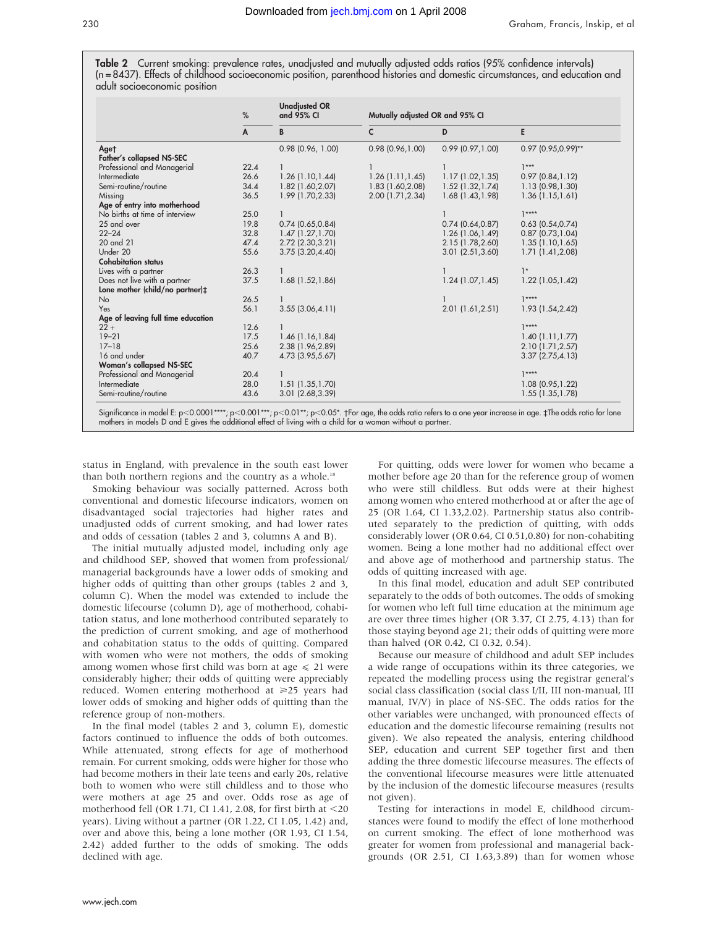Table 2 Current smoking: prevalence rates, unadjusted and mutually adjusted odds ratios (95% confidence intervals) (n = 8437). Effects of childhood socioeconomic position, parenthood histories and domestic circumstances, and education and adult socioeconomic position

|                                    | $\%$<br>A | <b>Unadjusted OR</b><br>and 95% CI | Mutually adjusted OR and 95% CI |                       |                       |
|------------------------------------|-----------|------------------------------------|---------------------------------|-----------------------|-----------------------|
|                                    |           | B                                  | C                               | D                     | E                     |
| Aget                               |           | $0.98$ (0.96, 1.00)                | $0.98$ $(0.96, 1.00)$           | $0.99$ $(0.97, 1.00)$ | 0.97 (0.95,0.99)**    |
| Father's collapsed NS-SEC          |           |                                    |                                 |                       |                       |
| Professional and Managerial        | 22.4      |                                    |                                 |                       | $1***$                |
| Intermediate                       | 26.6      | $1.26$ (1.10,1.44)                 | $1.26$ (1.11, 1.45)             | 1.17(1.02, 1.35)      | 0.97(0.84, 1.12)      |
| Semi-routine/routine               | 34.4      | 1.82 (1.60, 2.07)                  | 1.83 (1.60, 2.08)               | $1.52$ (1.32, 1.74)   | 1.13 (0.98, 1.30)     |
| Missing                            | 36.5      | 1.99 (1.70, 2.33)                  | 2.00 (1.71, 2.34)               | 1.68(1.43, 1.98)      | 1.36(1.15, 1.61)      |
| Age of entry into motherhood       |           |                                    |                                 |                       |                       |
| No births at time of interview     | 25.0      |                                    |                                 |                       | $1***$                |
| 25 and over                        | 19.8      | 0.74(0.65, 0.84)                   |                                 | $0.74$ (0.64,0.87)    | $0.63$ $(0.54, 0.74)$ |
| $22 - 24$                          | 32.8      | $1.47$ $(1.27, 1.70)$              |                                 | $1.26$ (1.06, 1.49)   | $0.87$ (0.73, 1.04)   |
| 20 and 21                          | 47.4      | 2.72 (2.30,3.21)                   |                                 | 2.15 (1.78, 2.60)     | 1.35(1.10, 1.65)      |
| Under 20                           | 55.6      | $3.75$ $(3.20, 4.40)$              |                                 | 3.01(2.51, 3.60)      | 1.71(1.41, 2.08)      |
| <b>Cohabitation status</b>         |           |                                    |                                 |                       |                       |
| Lives with a partner               | 26.3      | 1                                  |                                 |                       | $1*$                  |
| Does not live with a partner       | 37.5      | 1.68 (1.52, 1.86)                  |                                 | 1.24(1.07, 1.45)      | $1.22$ $(1.05, 1.42)$ |
| Lone mother (child/no partner)‡    |           |                                    |                                 |                       |                       |
| <b>No</b>                          | 26.5      |                                    |                                 |                       | $1***$                |
| Yes                                | 56.1      | 3.55(3.06, 4.11)                   |                                 | 2.01 (1.61, 2.51)     | 1.93(1.54, 2.42)      |
| Age of leaving full time education |           |                                    |                                 |                       |                       |
| $22 +$                             | 12.6      |                                    |                                 |                       | $1***$                |
| $19 - 21$                          | 17.5      | 1.46(1.16, 1.84)                   |                                 |                       | 1.40(1.11, 1.77)      |
| $17 - 18$                          | 25.6      | 2.38 (1.96, 2.89)                  |                                 |                       | 2.10 (1.71, 2.57)     |
| 16 and under                       | 40.7      | 4.73 (3.95,5.67)                   |                                 |                       | 3.37(2.75, 4.13)      |
| <b>Woman's collapsed NS-SEC</b>    |           |                                    |                                 |                       |                       |
| Professional and Managerial        | 20.4      |                                    |                                 |                       | $1***$                |
| Intermediate                       | 28.0      | 1.51(1.35, 1.70)                   |                                 |                       | $1.08$ (0.95, 1.22)   |
| Semi-routine/routine               | 43.6      | 3.01 (2.68, 3.39)                  |                                 |                       | 1.55(1.35, 1.78)      |

mothers in models D and E gives the additional effect of living with a child for a woman without a partner.

status in England, with prevalence in the south east lower than both northern regions and the country as a whole.<sup>18</sup>

Smoking behaviour was socially patterned. Across both conventional and domestic lifecourse indicators, women on disadvantaged social trajectories had higher rates and unadjusted odds of current smoking, and had lower rates and odds of cessation (tables 2 and 3, columns A and B).

The initial mutually adjusted model, including only age and childhood SEP, showed that women from professional/ managerial backgrounds have a lower odds of smoking and higher odds of quitting than other groups (tables 2 and 3, column C). When the model was extended to include the domestic lifecourse (column D), age of motherhood, cohabitation status, and lone motherhood contributed separately to the prediction of current smoking, and age of motherhood and cohabitation status to the odds of quitting. Compared with women who were not mothers, the odds of smoking among women whose first child was born at age  $\leq 21$  were considerably higher; their odds of quitting were appreciably reduced. Women entering motherhood at ≥25 years had lower odds of smoking and higher odds of quitting than the reference group of non-mothers.

In the final model (tables 2 and 3, column E), domestic factors continued to influence the odds of both outcomes. While attenuated, strong effects for age of motherhood remain. For current smoking, odds were higher for those who had become mothers in their late teens and early 20s, relative both to women who were still childless and to those who were mothers at age 25 and over. Odds rose as age of motherhood fell (OR 1.71, CI 1.41, 2.08, for first birth at  $<20$ years). Living without a partner (OR 1.22, CI 1.05, 1.42) and, over and above this, being a lone mother (OR 1.93, CI 1.54, 2.42) added further to the odds of smoking. The odds declined with age.

For quitting, odds were lower for women who became a mother before age 20 than for the reference group of women who were still childless. But odds were at their highest among women who entered motherhood at or after the age of 25 (OR 1.64, CI 1.33,2.02). Partnership status also contributed separately to the prediction of quitting, with odds considerably lower (OR 0.64, CI 0.51,0.80) for non-cohabiting women. Being a lone mother had no additional effect over and above age of motherhood and partnership status. The odds of quitting increased with age.

In this final model, education and adult SEP contributed separately to the odds of both outcomes. The odds of smoking for women who left full time education at the minimum age are over three times higher (OR 3.37, CI 2.75, 4.13) than for those staying beyond age 21; their odds of quitting were more than halved (OR 0.42, CI 0.32, 0.54).

Because our measure of childhood and adult SEP includes a wide range of occupations within its three categories, we repeated the modelling process using the registrar general's social class classification (social class I/II, III non-manual, III manual, IV/V) in place of NS-SEC. The odds ratios for the other variables were unchanged, with pronounced effects of education and the domestic lifecourse remaining (results not given). We also repeated the analysis, entering childhood SEP, education and current SEP together first and then adding the three domestic lifecourse measures. The effects of the conventional lifecourse measures were little attenuated by the inclusion of the domestic lifecourse measures (results not given).

Testing for interactions in model E, childhood circumstances were found to modify the effect of lone motherhood on current smoking. The effect of lone motherhood was greater for women from professional and managerial backgrounds (OR 2.51, CI 1.63,3.89) than for women whose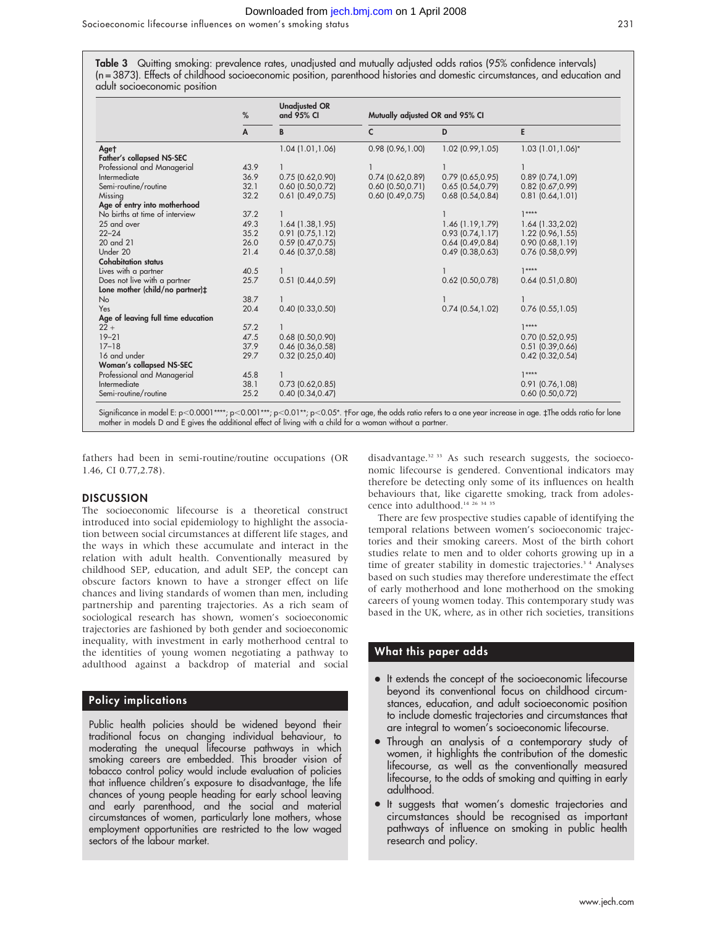Table 3 Quitting smoking: prevalence rates, unadjusted and mutually adjusted odds ratios (95% confidence intervals) (n = 3873). Effects of childhood socioeconomic position, parenthood histories and domestic circumstances, and education and adult socioeconomic position

|                                    | %<br>A | <b>Unadjusted OR</b><br>and 95% CI<br>B | Mutually adjusted OR and 95% CI |                       |                       |
|------------------------------------|--------|-----------------------------------------|---------------------------------|-----------------------|-----------------------|
|                                    |        |                                         | c                               | D                     | E                     |
| Aget                               |        | 1.04(1.01, 1.06)                        | $0.98$ $(0.96, 1.00)$           | 1.02 (0.99, 1.05)     | 1.03 (1.01, 1.06)*    |
| Father's collapsed NS-SEC          |        |                                         |                                 |                       |                       |
| Professional and Managerial        | 43.9   |                                         |                                 |                       |                       |
| Intermediate                       | 36.9   | 0.75(0.62, 0.90)                        | $0.74$ (0.62,0.89)              | $0.79$ $(0.65, 0.95)$ | $0.89$ $(0.74, 1.09)$ |
| Semi-routine/routine               | 32.1   | $0.60$ $(0.50, 0.72)$                   | $0.60$ $(0.50, 0.71)$           | $0.65$ $(0.54, 0.79)$ | $0.82$ (0.67,0.99)    |
| Missing                            | 32.2   | $0.61$ (0.49,0.75)                      | $0.60$ $(0.49, 0.75)$           | $0.68$ (0.54,0.84)    | 0.81(0.64, 1.01)      |
| Age of entry into motherhood       |        |                                         |                                 |                       |                       |
| No births at time of interview     | 37.2   |                                         |                                 |                       | $1***$                |
| 25 and over                        | 49.3   | $1.64$ (1.38, 1.95)                     |                                 | 1.46 (1.19,1.79)      | 1.64 (1.33, 2.02)     |
| $22 - 24$                          | 35.2   | 0.91(0.75,1.12)                         |                                 | 0.93(0.74,1.17)       | 1.22 (0.96, 1.55)     |
| 20 and 21                          | 26.0   | $0.59$ $(0.47, 0.75)$                   |                                 | $0.64$ (0.49,0.84)    | 0.90(0.68, 1.19)      |
| Under 20                           | 21.4   | $0.46$ (0.37,0.58)                      |                                 | $0.49$ (0.38,0.63)    | $0.76$ $(0.58, 0.99)$ |
| <b>Cohabitation status</b>         |        |                                         |                                 |                       |                       |
| Lives with a partner               | 40.5   |                                         |                                 |                       | $1***$                |
| Does not live with a partner       | 25.7   | $0.51$ $(0.44, 0.59)$                   |                                 | $0.62$ (0.50,0.78)    | $0.64$ (0.51,0.80)    |
| Lone mother (child/no partner)‡    |        |                                         |                                 |                       |                       |
| No                                 | 38.7   |                                         |                                 |                       |                       |
| Yes                                | 20.4   | $0.40$ $(0.33, 0.50)$                   |                                 | $0.74$ $(0.54, 1.02)$ | $0.76$ $(0.55, 1.05)$ |
| Age of leaving full time education |        |                                         |                                 |                       |                       |
| $22 +$                             | 57.2   |                                         |                                 |                       | $1***$                |
| $19 - 21$                          | 47.5   | $0.68$ $(0.50, 0.90)$                   |                                 |                       | $0.70$ $(0.52, 0.95)$ |
| $17 - 18$                          | 37.9   | $0.46$ $(0.36, 0.58)$                   |                                 |                       | $0.51$ $(0.39, 0.66)$ |
| 16 and under                       | 29.7   | $0.32$ (0.25,0.40)                      |                                 |                       | $0.42$ (0.32,0.54)    |
| Woman's collapsed NS-SEC           |        |                                         |                                 |                       |                       |
| Professional and Managerial        | 45.8   |                                         |                                 |                       | $1***$                |
| Intermediate                       | 38.1   | $0.73$ $(0.62, 0.85)$                   |                                 |                       | 0.91(0.76, 1.08)      |
| Semi-routine/routine               | 25.2   | 0.40(0.34, 0.47)                        |                                 |                       | $0.60$ $(0.50, 0.72)$ |

Significance in model E: p<0.0001\*\*\*\*; p<0.001\*\*\*; p<0.01\*\*; p<0.05\*. †For age, the odds ratio refers to a one year increase in age. ‡The odds ratio for lone mother in models D and E gives the additional effect of living with a child for a woman without a partner.

fathers had been in semi-routine/routine occupations (OR 1.46, CI 0.77,2.78).

#### **DISCUSSION**

The socioeconomic lifecourse is a theoretical construct introduced into social epidemiology to highlight the association between social circumstances at different life stages, and the ways in which these accumulate and interact in the relation with adult health. Conventionally measured by childhood SEP, education, and adult SEP, the concept can obscure factors known to have a stronger effect on life chances and living standards of women than men, including partnership and parenting trajectories. As a rich seam of sociological research has shown, women's socioeconomic trajectories are fashioned by both gender and socioeconomic inequality, with investment in early motherhood central to the identities of young women negotiating a pathway to adulthood against a backdrop of material and social

#### Policy implications

Public health policies should be widened beyond their traditional focus on changing individual behaviour, to moderating the unequal lifecourse pathways in which smoking careers are embedded. This broader vision of tobacco control policy would include evaluation of policies that influence children's exposure to disadvantage, the life chances of young people heading for early school leaving and early parenthood, and the social and material circumstances of women, particularly lone mothers, whose employment opportunities are restricted to the low waged sectors of the labour market.

disadvantage.<sup>32 33</sup> As such research suggests, the socioeconomic lifecourse is gendered. Conventional indicators may therefore be detecting only some of its influences on health behaviours that, like cigarette smoking, track from adolescence into adulthood.<sup>14 26</sup> <sup>34</sup> <sup>35</sup>

There are few prospective studies capable of identifying the temporal relations between women's socioeconomic trajectories and their smoking careers. Most of the birth cohort studies relate to men and to older cohorts growing up in a time of greater stability in domestic trajectories.<sup>3</sup> 4 Analyses based on such studies may therefore underestimate the effect of early motherhood and lone motherhood on the smoking careers of young women today. This contemporary study was based in the UK, where, as in other rich societies, transitions

#### What this paper adds

- It extends the concept of the socioeconomic lifecourse beyond its conventional focus on childhood circumstances, education, and adult socioeconomic position to include domestic trajectories and circumstances that are integral to women's socioeconomic lifecourse.
- Through an analysis of a contemporary study of women, it highlights the contribution of the domestic lifecourse, as well as the conventionally measured lifecourse, to the odds of smoking and quitting in early adulthood.
- **•** It suggests that women's domestic trajectories and circumstances should be recognised as important pathways of influence on smoking in public health research and policy.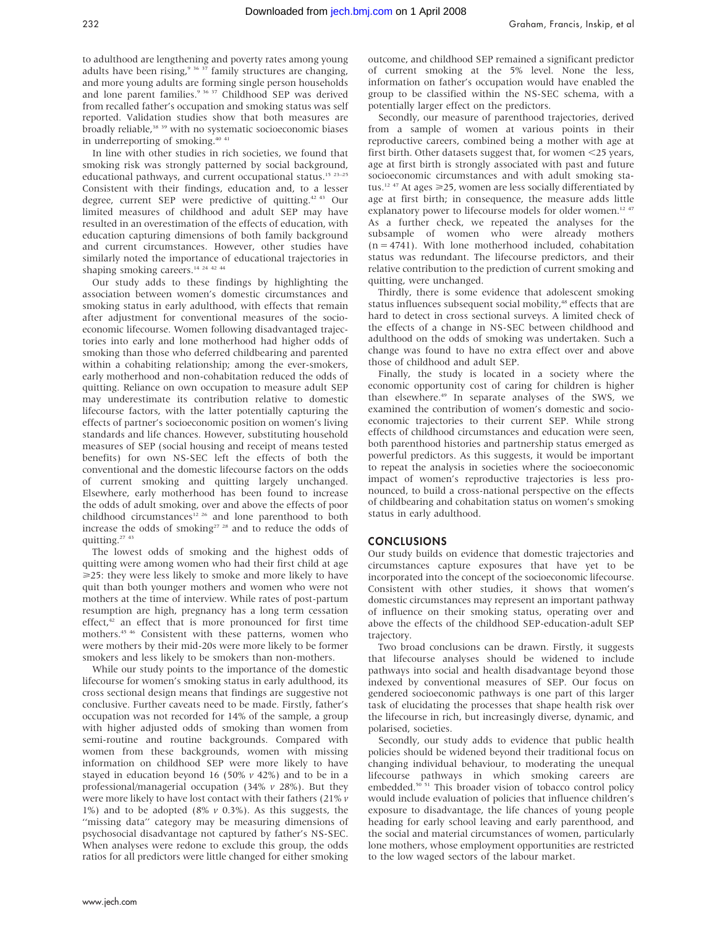to adulthood are lengthening and poverty rates among young adults have been rising, $9^{36}$  37 family structures are changing, and more young adults are forming single person households and lone parent families.<sup>9 36 37</sup> Childhood SEP was derived from recalled father's occupation and smoking status was self reported. Validation studies show that both measures are broadly reliable,<sup>38</sup> 39</sup> with no systematic socioeconomic biases in underreporting of smoking.40 41

In line with other studies in rich societies, we found that smoking risk was strongly patterned by social background, educational pathways, and current occupational status.<sup>15</sup> <sup>23-25</sup> Consistent with their findings, education and, to a lesser degree, current SEP were predictive of quitting.42 43 Our limited measures of childhood and adult SEP may have resulted in an overestimation of the effects of education, with education capturing dimensions of both family background and current circumstances. However, other studies have similarly noted the importance of educational trajectories in shaping smoking careers.<sup>14 24 42 44</sup>

Our study adds to these findings by highlighting the association between women's domestic circumstances and smoking status in early adulthood, with effects that remain after adjustment for conventional measures of the socioeconomic lifecourse. Women following disadvantaged trajectories into early and lone motherhood had higher odds of smoking than those who deferred childbearing and parented within a cohabiting relationship; among the ever-smokers, early motherhood and non-cohabitation reduced the odds of quitting. Reliance on own occupation to measure adult SEP may underestimate its contribution relative to domestic lifecourse factors, with the latter potentially capturing the effects of partner's socioeconomic position on women's living standards and life chances. However, substituting household measures of SEP (social housing and receipt of means tested benefits) for own NS-SEC left the effects of both the conventional and the domestic lifecourse factors on the odds of current smoking and quitting largely unchanged. Elsewhere, early motherhood has been found to increase the odds of adult smoking, over and above the effects of poor childhood circumstances<sup>12 26</sup> and lone parenthood to both increase the odds of smoking<sup>27</sup> <sup>28</sup> and to reduce the odds of quitting.27 43

The lowest odds of smoking and the highest odds of quitting were among women who had their first child at age  $\geq$ 25: they were less likely to smoke and more likely to have quit than both younger mothers and women who were not mothers at the time of interview. While rates of post-partum resumption are high, pregnancy has a long term cessation effect,<sup>42</sup> an effect that is more pronounced for first time mothers.45 46 Consistent with these patterns, women who were mothers by their mid-20s were more likely to be former smokers and less likely to be smokers than non-mothers.

While our study points to the importance of the domestic lifecourse for women's smoking status in early adulthood, its cross sectional design means that findings are suggestive not conclusive. Further caveats need to be made. Firstly, father's occupation was not recorded for 14% of the sample, a group with higher adjusted odds of smoking than women from semi-routine and routine backgrounds. Compared with women from these backgrounds, women with missing information on childhood SEP were more likely to have stayed in education beyond 16 (50%  $v$  42%) and to be in a professional/managerial occupation (34%  $\nu$  28%). But they were more likely to have lost contact with their fathers (21% v 1%) and to be adopted (8%  $\nu$  0.3%). As this suggests, the "missing data" category may be measuring dimensions of psychosocial disadvantage not captured by father's NS-SEC. When analyses were redone to exclude this group, the odds ratios for all predictors were little changed for either smoking

outcome, and childhood SEP remained a significant predictor of current smoking at the 5% level. None the less, information on father's occupation would have enabled the group to be classified within the NS-SEC schema, with a potentially larger effect on the predictors.

Secondly, our measure of parenthood trajectories, derived from a sample of women at various points in their reproductive careers, combined being a mother with age at first birth. Other datasets suggest that, for women  $\leq$ 25 years, age at first birth is strongly associated with past and future socioeconomic circumstances and with adult smoking status.<sup>12 47</sup> At ages  $\geq$  25, women are less socially differentiated by age at first birth; in consequence, the measure adds little explanatory power to lifecourse models for older women.<sup>124</sup> As a further check, we repeated the analyses for the subsample of women who were already mothers  $(n = 4741)$ . With lone motherhood included, cohabitation status was redundant. The lifecourse predictors, and their relative contribution to the prediction of current smoking and quitting, were unchanged.

Thirdly, there is some evidence that adolescent smoking status influences subsequent social mobility,<sup>48</sup> effects that are hard to detect in cross sectional surveys. A limited check of the effects of a change in NS-SEC between childhood and adulthood on the odds of smoking was undertaken. Such a change was found to have no extra effect over and above those of childhood and adult SEP.

Finally, the study is located in a society where the economic opportunity cost of caring for children is higher than elsewhere.<sup>49</sup> In separate analyses of the SWS, we examined the contribution of women's domestic and socioeconomic trajectories to their current SEP. While strong effects of childhood circumstances and education were seen, both parenthood histories and partnership status emerged as powerful predictors. As this suggests, it would be important to repeat the analysis in societies where the socioeconomic impact of women's reproductive trajectories is less pronounced, to build a cross-national perspective on the effects of childbearing and cohabitation status on women's smoking status in early adulthood.

#### **CONCLUSIONS**

Our study builds on evidence that domestic trajectories and circumstances capture exposures that have yet to be incorporated into the concept of the socioeconomic lifecourse. Consistent with other studies, it shows that women's domestic circumstances may represent an important pathway of influence on their smoking status, operating over and above the effects of the childhood SEP-education-adult SEP trajectory.

Two broad conclusions can be drawn. Firstly, it suggests that lifecourse analyses should be widened to include pathways into social and health disadvantage beyond those indexed by conventional measures of SEP. Our focus on gendered socioeconomic pathways is one part of this larger task of elucidating the processes that shape health risk over the lifecourse in rich, but increasingly diverse, dynamic, and polarised, societies.

Secondly, our study adds to evidence that public health policies should be widened beyond their traditional focus on changing individual behaviour, to moderating the unequal lifecourse pathways in which smoking careers are embedded.<sup>50 51</sup> This broader vision of tobacco control policy would include evaluation of policies that influence children's exposure to disadvantage, the life chances of young people heading for early school leaving and early parenthood, and the social and material circumstances of women, particularly lone mothers, whose employment opportunities are restricted to the low waged sectors of the labour market.